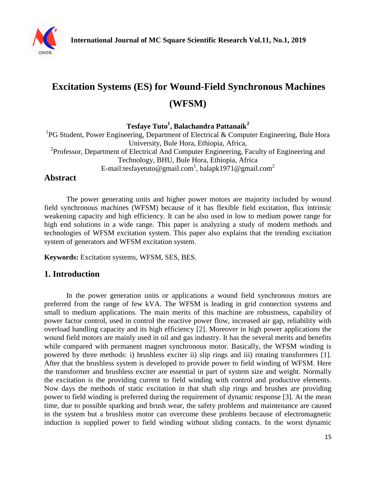

# **Excitation Systems (ES) for Wound-Field Synchronous Machines (WFSM)**

**Tesfaye Tuto<sup>1</sup> , Balachandra Pattanaik<sup>2</sup>**

<sup>1</sup>PG Student, Power Engineering, Department of Electrical & Computer Engineering, Bule Hora University, Bule Hora, Ethiopia, Africa, <sup>2</sup>Professor, Department of Electrical And Computer Engineering, Faculty of Engineering and Technology, BHU, Bule Hora, Ethiopia, Africa E-mail:tesfayetuto@gmail.com<sup>1</sup>, balapk1971@gmail.com<sup>2</sup>

## **Abstract**

The power generating units and higher power motors are majority included by wound field synchronous machines (WFSM) because of it has flexible field excitation, flux intrinsic weakening capacity and high efficiency. It can be also used in low to medium power range for high end solutions in a wide range. This paper is analyzing a study of modern methods and technologies of WFSM excitation system. This paper also explains that the trending excitation system of generators and WFSM excitation system.

**Keywords:** Excitation systems, WFSM, SES, BES.

## **1. Introduction**

In the power generation units or applications a wound field synchronous motors are preferred from the range of few kVA. The WFSM is leading in grid connection systems and small to medium applications. The main merits of this machine are robustness, capability of power factor control, used in control the reactive power flow, increased air gap, reliability with overload handling capacity and its high efficiency [2]. Moreover in high power applications the wound field motors are mainly used in oil and gas industry. It has the several merits and benefits while compared with permanent magnet synchronous motor. Basically, the WFSM winding is powered by three methods: i) brushless exciter ii) slip rings and iii) rotating transformers [1]. After that the brushless system is developed to provide power to field winding of WFSM. Here the transformer and brushless exciter are essential in part of system size and weight. Normally the excitation is the providing current to field winding with control and productive elements. Now days the methods of static excitation in that shaft slip rings and brushes are providing power to field winding is preferred during the requirement of dynamic response [3]. At the mean time, due to possible sparking and brush wear, the safety problems and maintenance are caused in the system but a brushless motor can overcome these problems because of electromagnetic induction is supplied power to field winding without sliding contacts. In the worst dynamic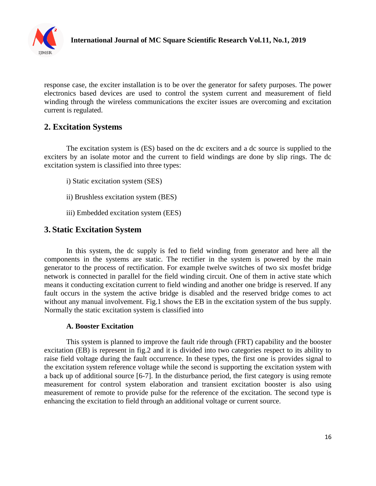

response case, the exciter installation is to be over the generator for safety purposes. The power electronics based devices are used to control the system current and measurement of field winding through the wireless communications the exciter issues are overcoming and excitation current is regulated.

## **2. Excitation Systems**

The excitation system is (ES) based on the dc exciters and a dc source is supplied to the exciters by an isolate motor and the current to field windings are done by slip rings. The dc excitation system is classified into three types:

- i) Static excitation system (SES)
- ii) Brushless excitation system (BES)
- iii) Embedded excitation system (EES)

## **3. Static Excitation System**

In this system, the dc supply is fed to field winding from generator and here all the components in the systems are static. The rectifier in the system is powered by the main generator to the process of rectification. For example twelve switches of two six mosfet bridge network is connected in parallel for the field winding circuit. One of them in active state which means it conducting excitation current to field winding and another one bridge is reserved. If any fault occurs in the system the active bridge is disabled and the reserved bridge comes to act without any manual involvement. Fig.1 shows the EB in the excitation system of the bus supply. Normally the static excitation system is classified into

#### **A. Booster Excitation**

This system is planned to improve the fault ride through (FRT) capability and the booster excitation (EB) is represent in fig.2 and it is divided into two categories respect to its ability to raise field voltage during the fault occurrence. In these types, the first one is provides signal to the excitation system reference voltage while the second is supporting the excitation system with a back up of additional source [6-7]. In the disturbance period, the first category is using remote measurement for control system elaboration and transient excitation booster is also using measurement of remote to provide pulse for the reference of the excitation. The second type is enhancing the excitation to field through an additional voltage or current source.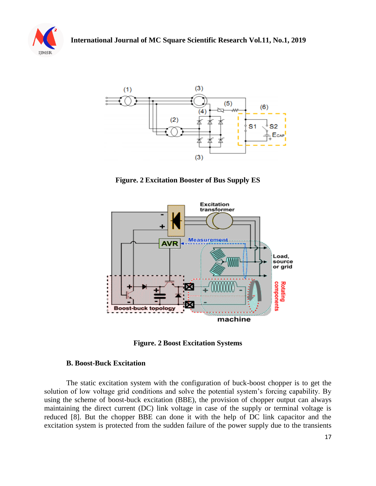



**Figure. 2 Excitation Booster of Bus Supply ES**



**Figure. 2 Boost Excitation Systems**

#### **B. Boost-Buck Excitation**

The static excitation system with the configuration of buck-boost chopper is to get the solution of low voltage grid conditions and solve the potential system's forcing capability. By using the scheme of boost-buck excitation (BBE), the provision of chopper output can always maintaining the direct current (DC) link voltage in case of the supply or terminal voltage is reduced [8]. But the chopper BBE can done it with the help of DC link capacitor and the excitation system is protected from the sudden failure of the power supply due to the transients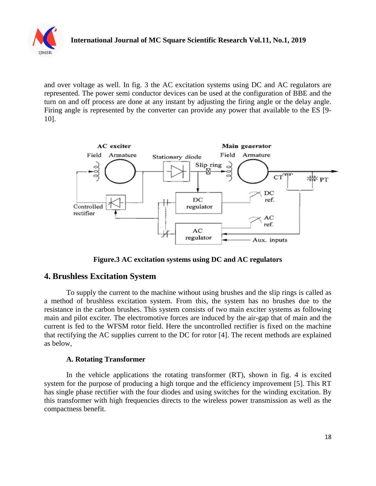

and over voltage as well. In fig. 3 the AC excitation systems using DC and AC regulators are represented. The power semi conductor devices can be used at the configuration of BBE and the turn on and off process are done at any instant by adjusting the firing angle or the delay angle. Firing angle is represented by the converter can provide any power that available to the ES [9- 10].



**Figure.3 AC excitation systems using DC and AC regulators**

## **4. Brushless Excitation System**

To supply the current to the machine without using brushes and the slip rings is called as a method of brushless excitation system. From this, the system has no brushes due to the resistance in the carbon brushes. This system consists of two main exciter systems as following main and pilot exciter. The electromotive forces are induced by the air-gap that of main and the current is fed to the WFSM rotor field. Here the uncontrolled rectifier is fixed on the machine that rectifying the AC supplies current to the DC for rotor [4]. The recent methods are explained as below,

#### **A. Rotating Transformer**

In the vehicle applications the rotating transformer (RT), shown in fig. 4 is excited system for the purpose of producing a high torque and the efficiency improvement [5]. This RT has single phase rectifier with the four diodes and using switches for the winding excitation. By this transformer with high frequencies directs to the wireless power transmission as well as the compactness benefit.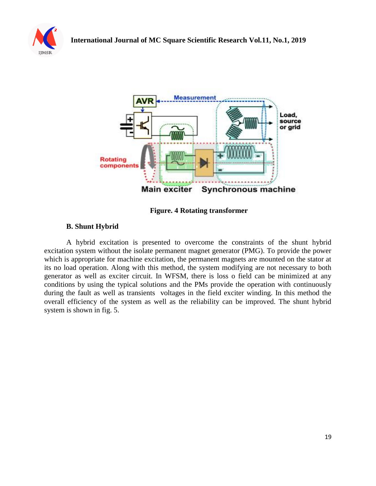





**Figure. 4 Rotating transformer**

### **B. Shunt Hybrid**

A hybrid excitation is presented to overcome the constraints of the shunt hybrid excitation system without the isolate permanent magnet generator (PMG). To provide the power which is appropriate for machine excitation, the permanent magnets are mounted on the stator at its no load operation. Along with this method, the system modifying are not necessary to both generator as well as exciter circuit. In WFSM, there is loss o field can be minimized at any conditions by using the typical solutions and the PMs provide the operation with continuously during the fault as well as transients voltages in the field exciter winding. In this method the overall efficiency of the system as well as the reliability can be improved. The shunt hybrid system is shown in fig. 5.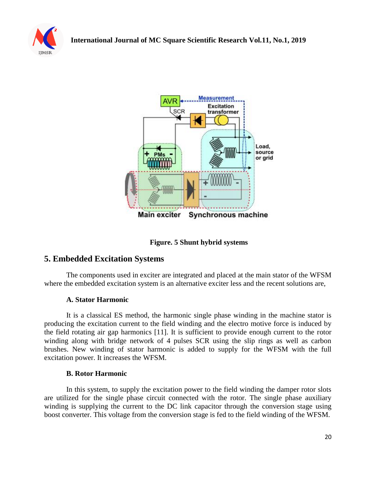



**Figure. 5 Shunt hybrid systems**

## **5. Embedded Excitation Systems**

The components used in exciter are integrated and placed at the main stator of the WFSM where the embedded excitation system is an alternative exciter less and the recent solutions are,

#### **A. Stator Harmonic**

It is a classical ES method, the harmonic single phase winding in the machine stator is producing the excitation current to the field winding and the electro motive force is induced by the field rotating air gap harmonics [11]. It is sufficient to provide enough current to the rotor winding along with bridge network of 4 pulses SCR using the slip rings as well as carbon brushes. New winding of stator harmonic is added to supply for the WFSM with the full excitation power. It increases the WFSM.

#### **B. Rotor Harmonic**

In this system, to supply the excitation power to the field winding the damper rotor slots are utilized for the single phase circuit connected with the rotor. The single phase auxiliary winding is supplying the current to the DC link capacitor through the conversion stage using boost converter. This voltage from the conversion stage is fed to the field winding of the WFSM.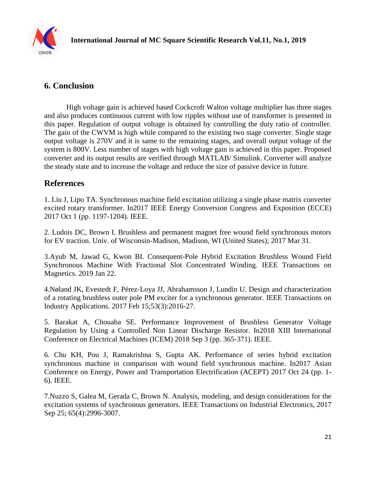

# **6. Conclusion**

High voltage gain is achieved based Cockcroft Walton voltage multiplier has three stages and also produces continuous current with low ripples without use of transformer is presented in this paper. Regulation of output voltage is obtained by controlling the duty ratio of controller. The gain of the CWVM is high while compared to the existing two stage converter. Single stage output voltage is 270V and it is same to the remaining stages, and overall output voltage of the system is 800V. Less number of stages with high voltage gain is achieved in this paper. Proposed converter and its output results are verified through MATLAB/ Simulink. Converter will analyze the steady state and to increase the voltage and reduce the size of passive device in future.

## **References**

1. Liu J, Lipo TA. Synchronous machine field excitation utilizing a single phase matrix converter excited rotary transformer. In2017 IEEE Energy Conversion Congress and Exposition (ECCE) 2017 Oct 1 (pp. 1197-1204). IEEE.

2. Ludois DC, Brown I. Brushless and permanent magnet free wound field synchronous motors for EV traction. Univ. of Wisconsin-Madison, Madison, WI (United States); 2017 Mar 31.

3.Ayub M, Jawad G, Kwon BI. Consequent-Pole Hybrid Excitation Brushless Wound Field Synchronous Machine With Fractional Slot Concentrated Winding. IEEE Transactions on Magnetics. 2019 Jan 22.

4.Nøland JK, Evestedt F, Pérez-Loya JJ, Abrahamsson J, Lundin U. Design and characterization of a rotating brushless outer pole PM exciter for a synchronous generator. IEEE Transactions on Industry Applications. 2017 Feb 15;53(3):2016-27.

5. Barakat A, Chouaba SE. Performance Improvement of Brushless Generator Voltage Regulation by Using a Controlled Non Linear Discharge Resistor. In2018 XIII International Conference on Electrical Machines (ICEM) 2018 Sep 3 (pp. 365-371). IEEE.

6. Chu KH, Pou J, Ramakrishna S, Gupta AK. Performance of series hybrid excitation synchronous machine in comparison with wound field synchronous machine. In2017 Asian Conference on Energy, Power and Transportation Electrification (ACEPT) 2017 Oct 24 (pp. 1- 6). IEEE.

7.Nuzzo S, Galea M, Gerada C, Brown N. Analysis, modeling, and design considerations for the excitation systems of synchronous generators. IEEE Transactions on Industrial Electronics, 2017 Sep 25; 65(4):2996-3007.